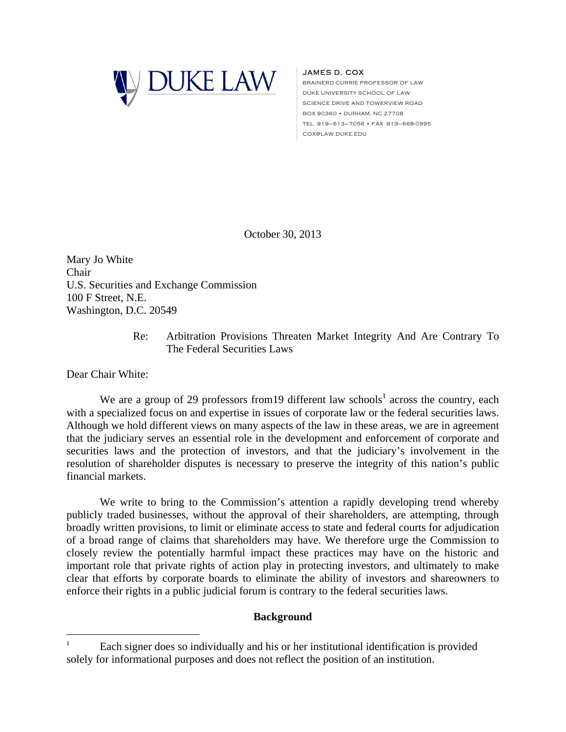

## JAMES D. COX

BRAINERD CURRIE PROFESSOR OF LAW DUKE UNIVERSITY SCHOOL OF LAW SCIENCE DRIVE AND TOWERVIEW ROAD BOX 90360 • DURHAM, NC 27708 TEL 919–613–7056 • FAX 919–668-0995 COX@LAW.DUKE.EDU

October 30, 2013

Mary Jo White Chair U.S. Securities and Exchange Commission 100 F Street, N.E. Washington, D.C. 20549

> Re: Arbitration Provisions Threaten Market Integrity And Are Contrary To The Federal Securities Laws

Dear Chair White:

<u>.</u>

We are a group of 29 professors from 19 different law schools<sup>1</sup> across the country, each with a specialized focus on and expertise in issues of corporate law or the federal securities laws. Although we hold different views on many aspects of the law in these areas, we are in agreement that the judiciary serves an essential role in the development and enforcement of corporate and securities laws and the protection of investors, and that the judiciary's involvement in the resolution of shareholder disputes is necessary to preserve the integrity of this nation's public financial markets.

We write to bring to the Commission's attention a rapidly developing trend whereby publicly traded businesses, without the approval of their shareholders, are attempting, through broadly written provisions, to limit or eliminate access to state and federal courts for adjudication of a broad range of claims that shareholders may have. We therefore urge the Commission to closely review the potentially harmful impact these practices may have on the historic and important role that private rights of action play in protecting investors, and ultimately to make clear that efforts by corporate boards to eliminate the ability of investors and shareowners to enforce their rights in a public judicial forum is contrary to the federal securities laws.

## **Background**

<sup>1</sup> Each signer does so individually and his or her institutional identification is provided solely for informational purposes and does not reflect the position of an institution.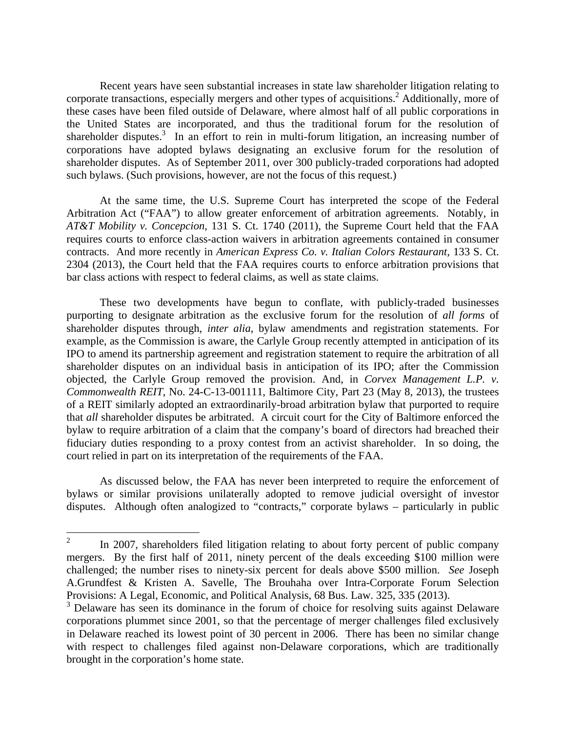Recent years have seen substantial increases in state law shareholder litigation relating to corporate transactions, especially mergers and other types of acquisitions.<sup>2</sup> Additionally, more of these cases have been filed outside of Delaware, where almost half of all public corporations in the United States are incorporated, and thus the traditional forum for the resolution of shareholder disputes.<sup>3</sup> In an effort to rein in multi-forum litigation, an increasing number of corporations have adopted bylaws designating an exclusive forum for the resolution of shareholder disputes. As of September 2011, over 300 publicly-traded corporations had adopted such bylaws. (Such provisions, however, are not the focus of this request.)

 At the same time, the U.S. Supreme Court has interpreted the scope of the Federal Arbitration Act ("FAA") to allow greater enforcement of arbitration agreements. Notably, in *AT&T Mobility v. Concepcion*, 131 S. Ct. 1740 (2011), the Supreme Court held that the FAA requires courts to enforce class-action waivers in arbitration agreements contained in consumer contracts. And more recently in *American Express Co. v. Italian Colors Restaurant*, 133 S. Ct. 2304 (2013), the Court held that the FAA requires courts to enforce arbitration provisions that bar class actions with respect to federal claims, as well as state claims.

 These two developments have begun to conflate, with publicly-traded businesses purporting to designate arbitration as the exclusive forum for the resolution of *all forms* of shareholder disputes through, *inter alia*, bylaw amendments and registration statements. For example, as the Commission is aware, the Carlyle Group recently attempted in anticipation of its IPO to amend its partnership agreement and registration statement to require the arbitration of all shareholder disputes on an individual basis in anticipation of its IPO; after the Commission objected, the Carlyle Group removed the provision. And, in *Corvex Management L.P. v. Commonwealth REIT*, No. 24-C-13-001111, Baltimore City, Part 23 (May 8, 2013), the trustees of a REIT similarly adopted an extraordinarily-broad arbitration bylaw that purported to require that *all* shareholder disputes be arbitrated. A circuit court for the City of Baltimore enforced the bylaw to require arbitration of a claim that the company's board of directors had breached their fiduciary duties responding to a proxy contest from an activist shareholder. In so doing, the court relied in part on its interpretation of the requirements of the FAA.

 As discussed below, the FAA has never been interpreted to require the enforcement of bylaws or similar provisions unilaterally adopted to remove judicial oversight of investor disputes. Although often analogized to "contracts," corporate bylaws – particularly in public

 $\frac{1}{2}$  In 2007, shareholders filed litigation relating to about forty percent of public company mergers. By the first half of 2011, ninety percent of the deals exceeding \$100 million were challenged; the number rises to ninety-six percent for deals above \$500 million. *See* Joseph A.Grundfest & Kristen A. Savelle, The Brouhaha over Intra-Corporate Forum Selection Provisions: A Legal, Economic, and Political Analysis, 68 Bus. Law. 325, 335 (2013).

<sup>&</sup>lt;sup>3</sup> Delaware has seen its dominance in the forum of choice for resolving suits against Delaware corporations plummet since 2001, so that the percentage of merger challenges filed exclusively in Delaware reached its lowest point of 30 percent in 2006. There has been no similar change with respect to challenges filed against non-Delaware corporations, which are traditionally brought in the corporation's home state.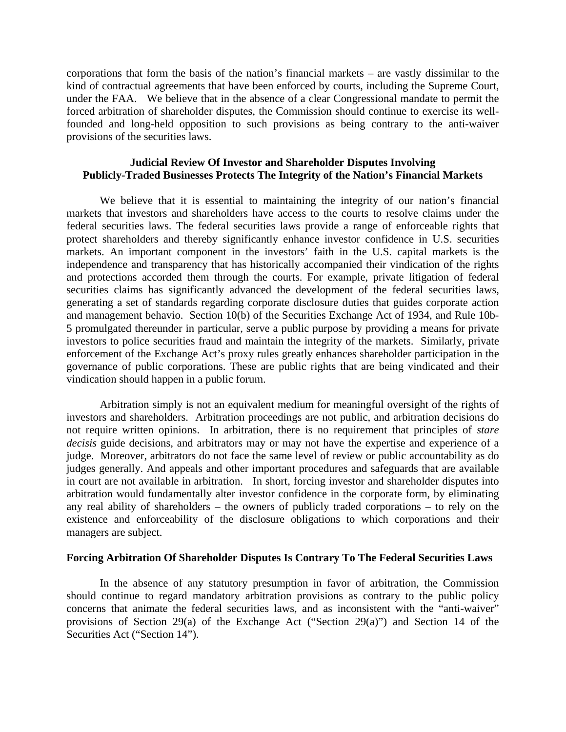corporations that form the basis of the nation's financial markets – are vastly dissimilar to the kind of contractual agreements that have been enforced by courts, including the Supreme Court, under the FAA. We believe that in the absence of a clear Congressional mandate to permit the forced arbitration of shareholder disputes, the Commission should continue to exercise its wellfounded and long-held opposition to such provisions as being contrary to the anti-waiver provisions of the securities laws.

## **Judicial Review Of Investor and Shareholder Disputes Involving Publicly-Traded Businesses Protects The Integrity of the Nation's Financial Markets**

We believe that it is essential to maintaining the integrity of our nation's financial markets that investors and shareholders have access to the courts to resolve claims under the federal securities laws. The federal securities laws provide a range of enforceable rights that protect shareholders and thereby significantly enhance investor confidence in U.S. securities markets. An important component in the investors' faith in the U.S. capital markets is the independence and transparency that has historically accompanied their vindication of the rights and protections accorded them through the courts. For example, private litigation of federal securities claims has significantly advanced the development of the federal securities laws, generating a set of standards regarding corporate disclosure duties that guides corporate action and management behavio. Section 10(b) of the Securities Exchange Act of 1934, and Rule 10b-5 promulgated thereunder in particular, serve a public purpose by providing a means for private investors to police securities fraud and maintain the integrity of the markets. Similarly, private enforcement of the Exchange Act's proxy rules greatly enhances shareholder participation in the governance of public corporations. These are public rights that are being vindicated and their vindication should happen in a public forum.

Arbitration simply is not an equivalent medium for meaningful oversight of the rights of investors and shareholders. Arbitration proceedings are not public, and arbitration decisions do not require written opinions. In arbitration, there is no requirement that principles of *stare decisis* guide decisions, and arbitrators may or may not have the expertise and experience of a judge. Moreover, arbitrators do not face the same level of review or public accountability as do judges generally. And appeals and other important procedures and safeguards that are available in court are not available in arbitration. In short, forcing investor and shareholder disputes into arbitration would fundamentally alter investor confidence in the corporate form, by eliminating any real ability of shareholders – the owners of publicly traded corporations – to rely on the existence and enforceability of the disclosure obligations to which corporations and their managers are subject.

## **Forcing Arbitration Of Shareholder Disputes Is Contrary To The Federal Securities Laws**

In the absence of any statutory presumption in favor of arbitration, the Commission should continue to regard mandatory arbitration provisions as contrary to the public policy concerns that animate the federal securities laws, and as inconsistent with the "anti-waiver" provisions of Section 29(a) of the Exchange Act ("Section 29(a)") and Section 14 of the Securities Act ("Section 14").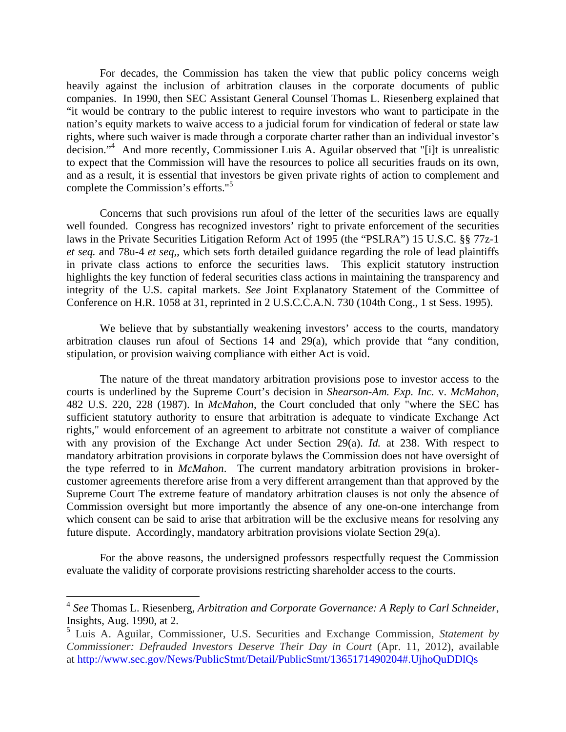For decades, the Commission has taken the view that public policy concerns weigh heavily against the inclusion of arbitration clauses in the corporate documents of public companies. In 1990, then SEC Assistant General Counsel Thomas L. Riesenberg explained that "it would be contrary to the public interest to require investors who want to participate in the nation's equity markets to waive access to a judicial forum for vindication of federal or state law rights, where such waiver is made through a corporate charter rather than an individual investor's decision."4 And more recently, Commissioner Luis A. Aguilar observed that "[i]t is unrealistic to expect that the Commission will have the resources to police all securities frauds on its own, and as a result, it is essential that investors be given private rights of action to complement and complete the Commission's efforts."<sup>5</sup>

Concerns that such provisions run afoul of the letter of the securities laws are equally well founded. Congress has recognized investors' right to private enforcement of the securities laws in the Private Securities Litigation Reform Act of 1995 (the "PSLRA") 15 U.S.C. §§ 77z-1 *et seq.* and 78u-4 *et seq,*, which sets forth detailed guidance regarding the role of lead plaintiffs in private class actions to enforce the securities laws. This explicit statutory instruction highlights the key function of federal securities class actions in maintaining the transparency and integrity of the U.S. capital markets. *See* Joint Explanatory Statement of the Committee of Conference on H.R. 1058 at 31, reprinted in 2 U.S.C.C.A.N. 730 (104th Cong., 1 st Sess. 1995).

We believe that by substantially weakening investors' access to the courts, mandatory arbitration clauses run afoul of Sections 14 and 29(a), which provide that "any condition, stipulation, or provision waiving compliance with either Act is void.

The nature of the threat mandatory arbitration provisions pose to investor access to the courts is underlined by the Supreme Court's decision in *Shearson-Am. Exp. Inc.* v. *McMahon,*  482 U.S. 220, 228 (1987). In *McMahon*, the Court concluded that only "where the SEC has sufficient statutory authority to ensure that arbitration is adequate to vindicate Exchange Act rights," would enforcement of an agreement to arbitrate not constitute a waiver of compliance with any provision of the Exchange Act under Section 29(a). *Id.* at 238. With respect to mandatory arbitration provisions in corporate bylaws the Commission does not have oversight of the type referred to in *McMahon*. The current mandatory arbitration provisions in brokercustomer agreements therefore arise from a very different arrangement than that approved by the Supreme Court The extreme feature of mandatory arbitration clauses is not only the absence of Commission oversight but more importantly the absence of any one-on-one interchange from which consent can be said to arise that arbitration will be the exclusive means for resolving any future dispute. Accordingly, mandatory arbitration provisions violate Section 29(a).

For the above reasons, the undersigned professors respectfully request the Commission evaluate the validity of corporate provisions restricting shareholder access to the courts.

 $\overline{a}$ 

<sup>4</sup> *See* Thomas L. Riesenberg, *Arbitration and Corporate Governance: A Reply to Carl Schneider*, Insights, Aug. 1990, at 2.

<sup>5</sup> Luis A. Aguilar, Commissioner, U.S. Securities and Exchange Commission, *Statement by Commissioner: Defrauded Investors Deserve Their Day in Court* (Apr. 11, 2012), available at http://www.sec.gov/News/PublicStmt/Detail/PublicStmt/1365171490204#.UjhoQuDDlQs